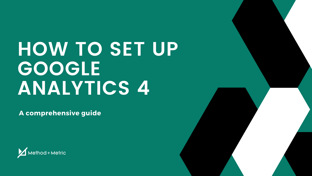# **HOW TO SET UP GOOGLE ANALYTICS 4**

**A comprehensive guide**



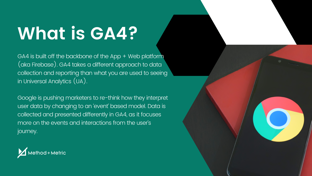## **What is GA4?**

GA4 is built off the backbone of the App + Web platform (aka Firebase). GA4 takes a different approach to data collection and reporting than what you are used to seeing in Universal Analytics (UA).

Google is pushing marketers to re-think how they interpret user data by changing to an 'event' based model. Data is  $\overline{\phantom{a}}$ ' collected and presented differently in GA4, as it focuses more on the events and interactions from the user s ' journey.



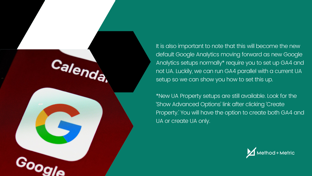

It is also important to note that this will become the new default Google Analytics moving forward as new Google Analytics setups normally\* require you to set up GA4 and not UA. Luckily, we can run GA4 parallel with a current UA setup so we can show you how to set this up.

\*New UA Property setups are still available. Look for the 'Show Advanced Options' link after clicking 'Create' Property.' You will have the option to create both GA4 and UA or create UA only.

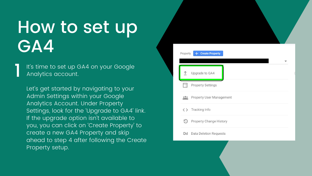It' s time to set up GA4 on your Google Analytics account.

## How to set up GA4

Let' s get started by navigating to your Admin Settings within your Google Analytics Account. Under Property Settings, look for the 'Upgrade to GA4' link. If the upgrade option isn 't available to you, you can click on 'Create Property ' to create a new GA4 Property and skip ahead to step 4 after following the Create Property setup.

| Property | <b>Create Property</b>        |  |
|----------|-------------------------------|--|
| Υ        | Upgrade to GA4                |  |
|          | <b>Property Settings</b>      |  |
| 0.06     | Property User Management      |  |
| くゝ       | Tracking Info                 |  |
| O        | Property Change History       |  |
| Dd       | <b>Data Deletion Requests</b> |  |
|          |                               |  |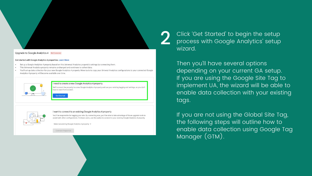Upgrade to Google Analytics 4 Not Connected

## Get started with Google Analytics 4 properties. Learn More

- Set up a Google Analytics 4 property based on this Universal Analytics property's settings by connecting them.
- This Universal Analytics property remains unchanged and continues to collect data.
- You'll set up data collection for your new Google Analytics 4 property. More tools to copy your Univeral Analytics configurations to your connected Google Analytics 4 property will become available over time



## I need to create a new Google Analytics 4 property

We'll connect the property to a new Google Analytics 4 property and use your existing tagging and settings, so you don't have to start from scratch.





## I want to connect to an existing Google Analytics 4 property

You'll be responsible for tagging your site. By connecting now, you'll be able to take advantage of future upgrade tools to assist with other configurations. Firebase users, use this option to connect to your existing Google Analytics 4 property.

Select an existing Google Analytics 4 property  $\ast$ 

Connect Properties

Click 'Get Started' to begin the setup process with Google Analytics setup '

Then you 'll have several options depending on your current GA setup. If you are using the Google Site Tag to implement UA, the wizard will be able to enable data collection with your existing tags.

wizard. 2

> If you are not using the Global Site Tag, the following steps will outline how to enable data collection using Google Tag Manager (GTM).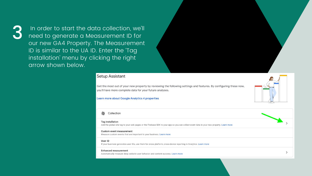In order to start the data collection, we'll need to generate a Measurement ID for our new GA4 Property. The Measurement ID is similar to the UA ID. Enter the 'Tag installation' menu by clicking the right arrow shown below.

## **Setup Assistant**

Get the most out of your new property by reviewing the following settings and features. By configuring these now, you'll have more complete data for your future analyses.

## Learn more about Google Analytics 4 properties

## Collection

÷ **Tag installation** Add the global site tag to your web pages or the Firebase SDK to your app so you can collect event data in your new property. Learn more **Custom event measurement** Measure custom events that are important to your business. Learn more User ID If your business generates user IDs, use them for cross-platform, cross-device reporting in Analytics. Learn more **Enhanced measurement**  $\rightarrow$ Automatically measure deep website user behavior and content success. Learn more

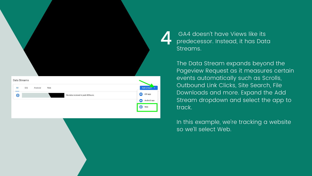In this example, we're tracking a websiteso we 'll select Web.

|                                                   | GA4<br>prede<br>Strear                  |
|---------------------------------------------------|-----------------------------------------|
|                                                   | 4                                       |
|                                                   |                                         |
|                                                   | The D                                   |
|                                                   |                                         |
|                                                   |                                         |
| Data Streams                                      |                                         |
| iOS<br>Web<br>Android<br>All                      | Pagey<br>event<br>Outbo<br>Add stream • |
| $\bigoplus$<br>No data received in past 48 hours. | Down<br>iOS app<br>f(05)                |
|                                                   | <b>Strear</b><br>Android app<br>O       |

GA4 doesn 't have Views like its predecessor. Instead, it has Data reams.

Ie Data Stream expands beyond the ageview Request as it measures certain ents automatically such as Scrolls, utbound Link Clicks, Site Search, File ownloads and more. Expand the Add ream dropdown and select the app to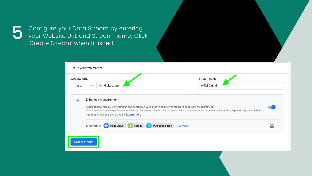Configure your Data Stream by entering your Website URL and Stream name. Click 'Create Stream' when finished. ' **S** Contigure your Data Stream b<br>your Website URL and Stream<br>Create Stream' when finished.

| <b>Website URL</b> |            |                                                                                                                                               |
|--------------------|------------|-----------------------------------------------------------------------------------------------------------------------------------------------|
| https://           |            | wtmdigital.com                                                                                                                                |
|                    |            | <b>Enhanced measurement</b>                                                                                                                   |
|                    |            | Automatically measure interactions and content on your sites in addition to standard page view                                                |
|                    |            | Data from on-page elements such as links and embedded videos may be collected with relevant<br>information will be sent to Google. Learn more |
|                    | Measuring: | <b>Outbound clicks</b><br>Page views<br><b>Scrolls</b><br>$+3$ more                                                                           |

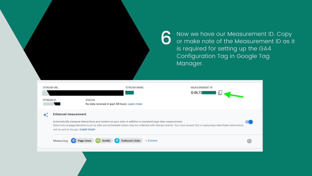Now we have our Measurement ID. Copy or make note of the Measurement ID as it

|                                       |                                                                                                                                                                                                                                                                                                                      | Now we have our Measurement ID<br>or make note of the Measurement<br>is required for setting up the GA4<br>Configuration Tag in Google Tag<br>Manager. |
|---------------------------------------|----------------------------------------------------------------------------------------------------------------------------------------------------------------------------------------------------------------------------------------------------------------------------------------------------------------------|--------------------------------------------------------------------------------------------------------------------------------------------------------|
| <b>STREAM URL</b><br><b>STREAM ID</b> | <b>STREAM NAME</b><br><b>STATUS</b><br>No data received in past 48 hours. Learn more                                                                                                                                                                                                                                 | <b>MEASUREMENT ID</b><br>G-DL73                                                                                                                        |
| <b>Enhanced measurement</b>           | Automatically measure interactions and content on your sites in addition to standard page view measurement.<br>Data from on-page elements such as links and embedded videos may be collected with relevant events. You must ensure that no personally-identifiable information<br>will be sent to Google. Learn more |                                                                                                                                                        |
| Measuring:<br>$\circ$                 | Outbound clicks + 3 more<br><b>CON</b><br>Scrolls<br>Page views<br>$\langle \bullet \rangle$                                                                                                                                                                                                                         |                                                                                                                                                        |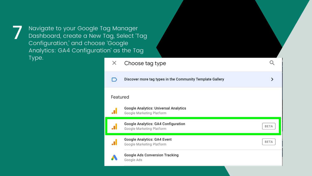Navigate to your Google Tag Manager Dashboard, create a New Tag, Select 'Tag Configuration, and choose 'Google ' Analytics: GA4 Configuration as the Tag ' Type.



| <b>Template Gallery</b> |             |
|-------------------------|-------------|
|                         |             |
|                         | <b>BETA</b> |
|                         | <b>BETA</b> |
|                         |             |
|                         |             |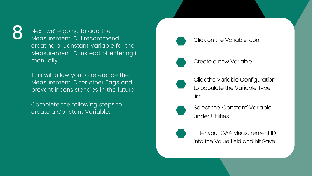Click on the Variable icon

Create a new Variable

Click the Variable Configuration to populate the Variable Type list

Select the 'Constant' Variable under Utilities

Enter your GA4 Measurement ID into the Value field and hit Save

Next, we 're going to add the Measurement ID. I recommend creating a Constant Variable for the Measurement ID instead of entering it manually.

This will allow you to reference the Measurement ID for other Tags and prevent inconsistencies in the future.

Complete the following steps to create a Constant Variable.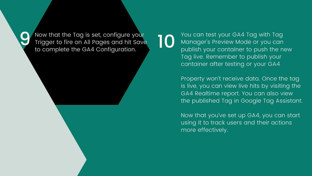Now that the Tag is set, configure your Trigger to fire on All Pages and hit Save to complete the GA4 Configuration.

You can test your GA4 Tag with Tag Manager s Preview Mode or you can ' publish your container to push the new Tag live. Remember to publish your container after testing or your GA4

Property won 't receive data. Once the tag is live, you can view live hits by visiting the GA4 Realtime report. You can also view the published Tag in Google Tag Assistant.

Now that you 've set up GA4, you can start using it to track users and their actions more effectively.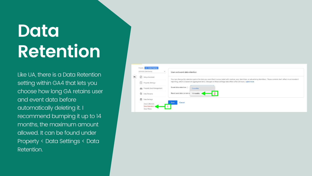## **Data Retention**

Like UA, there is a Data Retention setting within GA4 that lets you choose how long GA retains user and event data before automatically deleting it. I recommend bumping it up to 14 months, the maximum amount allowed. It can be found under Property < Data Settings < Data Retention.



You can change the retention period for data you send that is associated with cookies, user identifiers, or advertising identifiers. These controls don't affect most standard reporting, which is based on aggregated data. Changes to these settings take effect after 24 hours. Learn more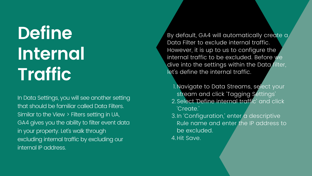## **Define Internal Traffic**

In Data Settings, you will see another setting that should be familiar called Data Filters. Similar to the View > Filters setting in UA, GA4 gives you the ability to filter event data in your property. Let' s walk through excluding internal traffic by excluding our internal IP address.

'Create.' 4. Hit Save.

l.Navigate to Data Streams, select your stream and click 'Tagging Settings' stream and click 'Tagging Settings'<br>2.Select <mark>'Define internal traffi</mark>c' and click

3. In 'Configuration,' enter a descriptive ' Rule name and enter the IP address to be excluded.

By default, GA4 will automatically create a Data Filter to exclude internal traffic. However, it is up to us to configure the internal traffic to be excluded. Before we dive into the settings within the Data filter, let's define the internal traffic.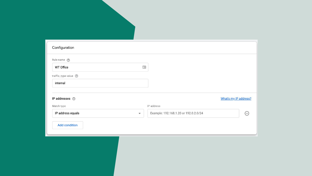| Configuration        |            |                                  |
|----------------------|------------|----------------------------------|
| Rule name 2          |            |                                  |
| <b>WT Office</b>     | 咀          |                                  |
| traffic_type value ② |            |                                  |
| internal             |            |                                  |
| IP addresses 2       |            |                                  |
| Match type           | IP address |                                  |
| IP address equals    | ▼          | Example: 192.168.1.20 or 192.0.2 |
| <b>Add condition</b> |            |                                  |
|                      |            |                                  |

## What's my IP address?

 $2.0/24$ 

 $\ominus$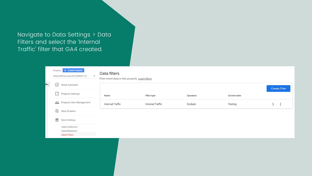Navigate to Data Settings > Data Filters and select the 'Internal Traffic ' filter that GA4 created.

|                | Property | <b>Create Property</b><br>NationalNotary.org GA4 (249636172)<br>$\mathbf{w}$ | Data filters<br>Filter event data in this property. Learn More |                         |           |                      |                      |
|----------------|----------|------------------------------------------------------------------------------|----------------------------------------------------------------|-------------------------|-----------|----------------------|----------------------|
| $\blacksquare$ | ⊻        | Setup Assistant                                                              |                                                                |                         |           |                      | <b>Create Filter</b> |
|                | T        | <b>Property Settings</b>                                                     | Name                                                           | Filter type             | Operation | <b>Current state</b> |                      |
|                |          | <b>Property User Management</b>                                              | <b>Internal Traffic</b>                                        | <b>Internal Traffic</b> | Exclude   | Testing              | $\geq$ :             |
|                |          | $\frac{24}{12}$ Data Streams                                                 |                                                                |                         |           |                      |                      |
|                | $\in$    | Data Settings                                                                |                                                                |                         |           |                      |                      |
|                |          | Data Collection                                                              |                                                                |                         |           |                      |                      |
|                |          | Data Retention                                                               |                                                                |                         |           |                      |                      |
|                |          | <b>Data Filters</b>                                                          |                                                                |                         |           |                      |                      |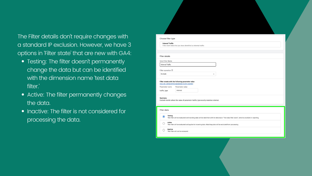- Testing: The filter doesn 't permanently change the data but can be identified with the dimension name test data filter.'
- Active: The filter permanently changes the data.
- Inactive: The filter is not considered for processing the data.

| Choose filter type               |                                                                                                                                                 |
|----------------------------------|-------------------------------------------------------------------------------------------------------------------------------------------------|
| <b>Internal Traffic</b>          | Filter event data that you have identified as internal traffic                                                                                  |
|                                  |                                                                                                                                                 |
| <b>Filter details</b>            |                                                                                                                                                 |
| Data Filter Name                 |                                                                                                                                                 |
| <b>Internal Traffic</b>          |                                                                                                                                                 |
|                                  |                                                                                                                                                 |
| Filter operation 2               |                                                                                                                                                 |
| Exclude                          |                                                                                                                                                 |
|                                  | Filter events with the following parameter value<br>How do I append this parameter to my events?<br>Parameter value                             |
| Parameter name<br>traffic_type   | internal                                                                                                                                        |
|                                  |                                                                                                                                                 |
| <b>Summary</b>                   | Exclude events where the value of parameter traffic_type exactly matches internal.                                                              |
|                                  |                                                                                                                                                 |
| <b>Filter state</b>              |                                                                                                                                                 |
| <b>Testing</b><br>$\circledcirc$ | This filter will be evaluated and matching data will be identified with the dimension "Test data filter name", which is available in reporting. |
| Active<br>O                      | This filter will be evaluated and applied to incoming data. Matching data will be excluded from processing.                                     |

The Filter details don 't require changes with a standard IP exclusion. However, we have 3 options in 'Filter state ' that are new with GA4: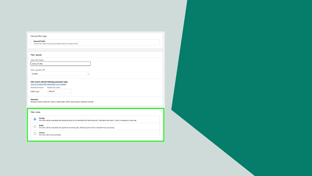| <b>Internal Traffic</b>     |                                                                                                                                                 |
|-----------------------------|-------------------------------------------------------------------------------------------------------------------------------------------------|
|                             | Filter event data that you have identified as internal traffic                                                                                  |
|                             |                                                                                                                                                 |
|                             |                                                                                                                                                 |
| <b>Filter details</b>       |                                                                                                                                                 |
| Data Filter Name            |                                                                                                                                                 |
| <b>Internal Traffic</b>     |                                                                                                                                                 |
| Filter operation $@$        |                                                                                                                                                 |
| Exclude                     | $\mathbf{v}$                                                                                                                                    |
|                             |                                                                                                                                                 |
|                             | Filter events with the following parameter value                                                                                                |
|                             | How do I append this parameter to my events?                                                                                                    |
| Parameter name              | Parameter value                                                                                                                                 |
| traffic_type                | internal                                                                                                                                        |
|                             |                                                                                                                                                 |
|                             |                                                                                                                                                 |
| <b>Summary</b>              |                                                                                                                                                 |
|                             | Exclude events where the value of parameter traffic_type exactly matches internal.                                                              |
|                             |                                                                                                                                                 |
| <b>Filter state</b>         |                                                                                                                                                 |
|                             |                                                                                                                                                 |
| <b>Testing</b><br>$\bullet$ | This filter will be evaluated and matching data will be identified with the dimension "Test data filter name", which is available in reporting. |
| Active                      |                                                                                                                                                 |
| O                           | This filter will be evaluated and applied to incoming data. Matching data will be excluded from processing.                                     |

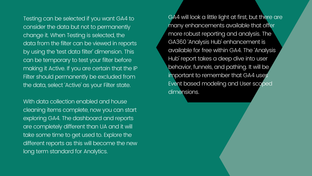Testing can be selected if you want GA4 to consider the data but not to permanently change it. When Testing is selected, the data from the filter can be viewed in reports by using the test data filter dimension. This can be temporary to test your filter before making it Active. If you are certain that the IP Filter should permanently be excluded from the data, select 'Active' as your Filter state. '

GA4 will look a little light at first, but there are many enhancements available that offer more robust reporting and analysis. The GA360 'Analysis Hub' enhancement is available for free within GA4. The 'Analysis Hub' report takes a deep dive into user behavior, funnels, and pathing. It will be important to remember that GA4 uses Event based modeling and User scoped dimensions.

With data collection enabled and house cleaning items complete, now you can start exploring GA4. The dashboard and reports are completely different than UA and it will take some time to get used to. Explore the different reports as this will become the new long term standard for Analytics.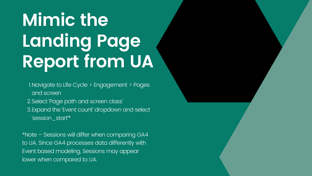# **Mimic the Landing Page Report from UA**

- Navigate to Life Cycle > Engagement > Pages 1. and screen
- 2.Select Page path and screen class '
- Expand the 'Event count' dropdown and select 3. ' session\_start'\*

\*Note – Sessions will differ when comparing GA4 to UA. Since GA4 processes data differently with Event based modeling, Sessions may appear lower when compared to UA.

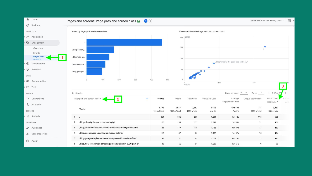

 $\overline{\ln}$ Last 28 days Oct 13 - Nov 9, 2020 \* Views and Users by Page path and screen class  $\bullet$ /blog/shopify-the-good-bad-and-ugly/  $\bullet$ 200 400 3 Rows per page:  $10 \rightarrow$ Go to:  $1$  $\langle$  1-10 of 66 Views per user Average Unique user scrolls Event count Con engagement time session\_s... \ All e 1.868 **Om 48s** 761 3,357 Avg 0% Avg 0% 100% of total 100% of total 1.521 0m 18s 115 395 1.097 1m 08s 21 166 1.185 0m 37s 17 163 15 1.333  $1m02s$ 124 1.103 0m 14s 13 112 1.636 0m 51s 9 93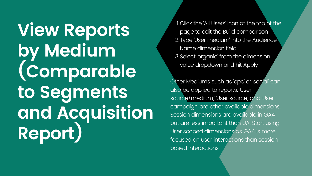**View Reports by Medium (Comparable to Segments and Acquisition Report)**

Click the 'All Users ' icon at the top of the 1. page to edit the Build comparison 2. Type 'User medium' into the Audience ' Name dimension field Select ' organic ' from the dimension 3. value dropdown and hit Apply

Other Mediums such as 'cpc' or 'social' can ' ' ' also be applied to reports. 'User source/medium, 'User source,' and 'User ' campaign are other available dimensions. ' Session dimensions are available in GA4 but are less important than UA. Start using User scoped dimensions as GA4 is more focused on user interactions than session based interactions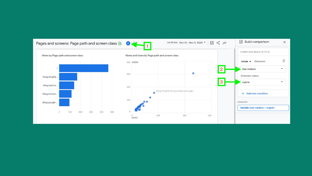